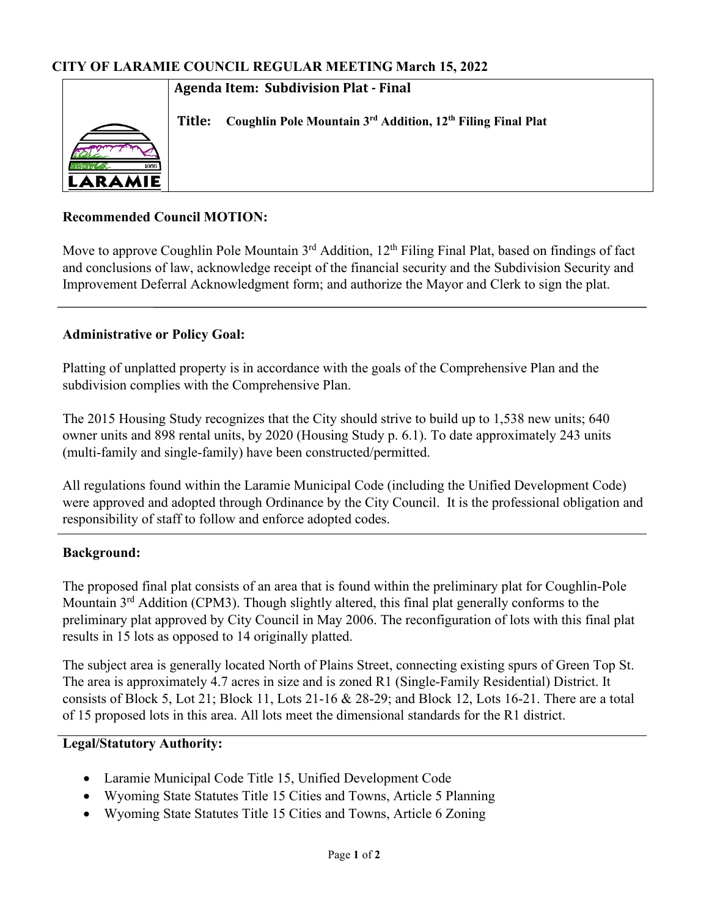#### **Agenda Item: Subdivision Plat - Final**

**Title: Coughlin Pole Mountain 3rd Addition, 12th Filing Final Plat**

# **Recommended Council MOTION:**

Move to approve Coughlin Pole Mountain 3<sup>rd</sup> Addition, 12<sup>th</sup> Filing Final Plat, based on findings of fact and conclusions of law, acknowledge receipt of the financial security and the Subdivision Security and Improvement Deferral Acknowledgment form; and authorize the Mayor and Clerk to sign the plat.

# **Administrative or Policy Goal:**

Platting of unplatted property is in accordance with the goals of the Comprehensive Plan and the subdivision complies with the Comprehensive Plan.

The 2015 Housing Study recognizes that the City should strive to build up to 1,538 new units; 640 owner units and 898 rental units, by 2020 (Housing Study p. 6.1). To date approximately 243 units (multi-family and single-family) have been constructed/permitted.

All regulations found within the Laramie Municipal Code (including the Unified Development Code) were approved and adopted through Ordinance by the City Council. It is the professional obligation and responsibility of staff to follow and enforce adopted codes.

### **Background:**

The proposed final plat consists of an area that is found within the preliminary plat for Coughlin-Pole Mountain 3<sup>rd</sup> Addition (CPM3). Though slightly altered, this final plat generally conforms to the preliminary plat approved by City Council in May 2006. The reconfiguration of lots with this final plat results in 15 lots as opposed to 14 originally platted.

The subject area is generally located North of Plains Street, connecting existing spurs of Green Top St. The area is approximately 4.7 acres in size and is zoned R1 (Single-Family Residential) District. It consists of Block 5, Lot 21; Block 11, Lots 21-16 & 28-29; and Block 12, Lots 16-21. There are a total of 15 proposed lots in this area. All lots meet the dimensional standards for the R1 district.

### **Legal/Statutory Authority:**

- Laramie Municipal Code Title 15, Unified Development Code
- Wyoming State Statutes Title 15 Cities and Towns, Article 5 Planning
- Wyoming State Statutes Title 15 Cities and Towns, Article 6 Zoning